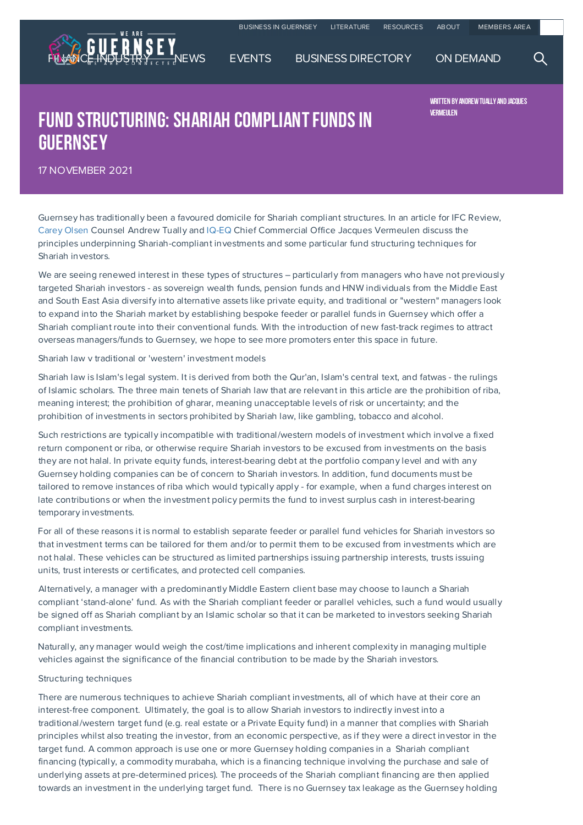

## FUND STRUCTURING: SHARIAH COMPLIANT FUNDS IN **GUERNSEY**

WRITTEN BY ANDREW TUALLY AND JACQUES Vermeulen

17 NOVEMBER 2021

Guernsey has traditionally been a favoured domicile for Shariah compliant structures. In an article for IFC Review, Carey Olsen Counsel Andrew Tually and IQ-EQ Chief Commercial Office Jacques Vermeulen discuss the principles underpinning Shariah-compliant investments and some particular fund structuring techniques for Shariah investors.

We are [seein](https://www.weareguernsey.com/business-directory/c/carey-olsen/)g renewed interest in these [types](https://www.weareguernsey.com/business-directory/i/iq-eq/) of structures - particularly from managers who have not previously targeted Shariah investors - as sovereign wealth funds, pension funds and HNW individuals from the Middle East and South East Asia diversify into alternative assets like private equity, and traditional or "western" managers look to expand into the Shariah market by establishing bespoke feeder or parallel funds in Guernsey which offer a Shariah compliant route into their conventional funds. With the introduction of new fast-track regimes to attract overseas managers/funds to Guernsey, we hope to see more promoters enter this space in future.

Shariah law v traditional or 'western' investment models

Shariah law is Islam's legal system. It is derived from both the Qur'an, Islam's central text, and fatwas - the rulings of Islamic scholars. The three main tenets of Shariah law that are relevant in this article are the prohibition of riba, meaning interest; the prohibition of gharar, meaning unacceptable levels of risk or uncertainty; and the prohibition of investments in sectors prohibited by Shariah law, like gambling, tobacco and alcohol.

Such restrictions are typically incompatible with traditional/western models of investment which involve a fixed return component or riba, or otherwise require Shariah investors to be excused from investments on the basis they are not halal. In private equity funds, interest-bearing debt at the portfolio company level and with any Guernsey holding companies can be of concern to Shariah investors. In addition, fund documents must be tailored to remove instances of riba which would typically apply - for example, when a fund charges interest on late contributions or when the investment policy permits the fund to invest surplus cash in interest-bearing temporary investments.

For all of these reasons it is normal to establish separate feeder or parallel fund vehicles for Shariah investors so that investment terms can be tailored for them and/or to permit them to be excused from investments which are not halal. These vehicles can be structured as limited partnerships issuing partnership interests, trusts issuing units, trust interests or certificates, and protected cell companies.

Alternatively, a manager with a predominantly Middle Eastern client base may choose to launch a Shariah compliant 'stand-alone' fund. As with the Shariah compliant feeder or parallel vehicles, such a fund would usually be signed off as Shariah compliant by an Islamic scholar so that it can be marketed to investors seeking Shariah compliant investments.

Naturally, any manager would weigh the cost/time implications and inherent complexity in managing multiple vehicles against the significance of the financial contribution to be made by the Shariah investors.

## Structuring techniques

There are numerous techniques to achieve Shariah compliant investments, all of which have at their core an interest-free component. Ultimately, the goal is to allow Shariah investors to indirectly invest into a traditional/western target fund (e.g. real estate or a Private Equity fund) in a manner that complies with Shariah principles whilst also treating the investor, from an economic perspective, as if they were a direct investor in the target fund. A common approach is use one or more Guernsey holding companies in a Shariah compliant financing (typically, a commodity murabaha, which is a financing technique involving the purchase and sale of underlying assets at pre-determined prices). The proceeds of the Shariah compliant financing are then applied towards an investment in the underlying target fund. There is no Guernsey tax leakage as the Guernsey holding